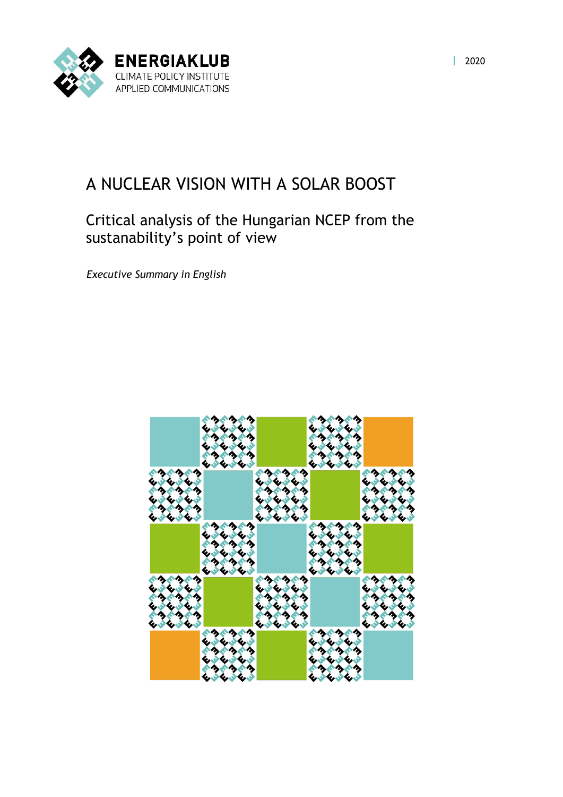

## A NUCLEAR VISION WITH A SOLAR BOOST

## Critical analysis of the Hungarian NCEP from the sustanability's point of view

*Executive Summary in English*

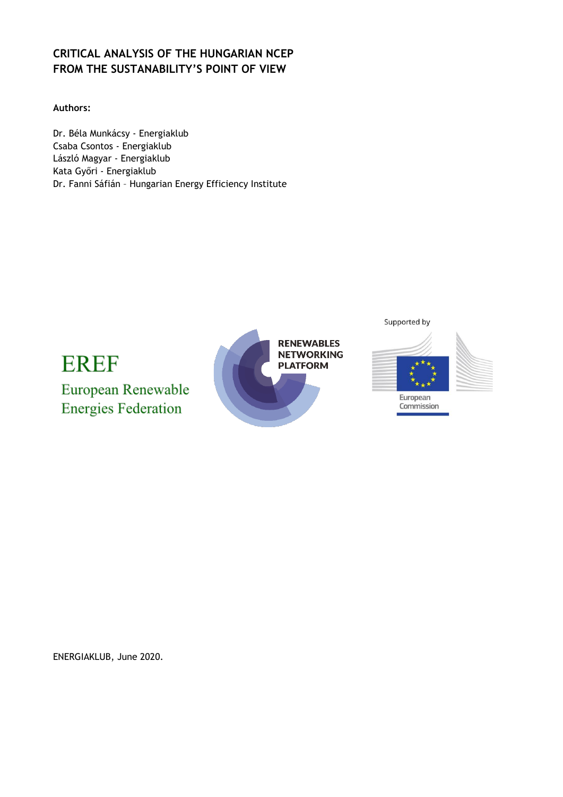## **CRITICAL ANALYSIS OF THE HUNGARIAN NCEP FROM THE SUSTANABILITY'S POINT OF VIEW**

**Authors:**

Dr. Béla Munkácsy - Energiaklub Csaba Csontos - Energiaklub László Magyar - Energiaklub Kata Győri - Energiaklub Dr. Fanni Sáfián – Hungarian Energy Efficiency Institute



ENERGIAKLUB, June 2020.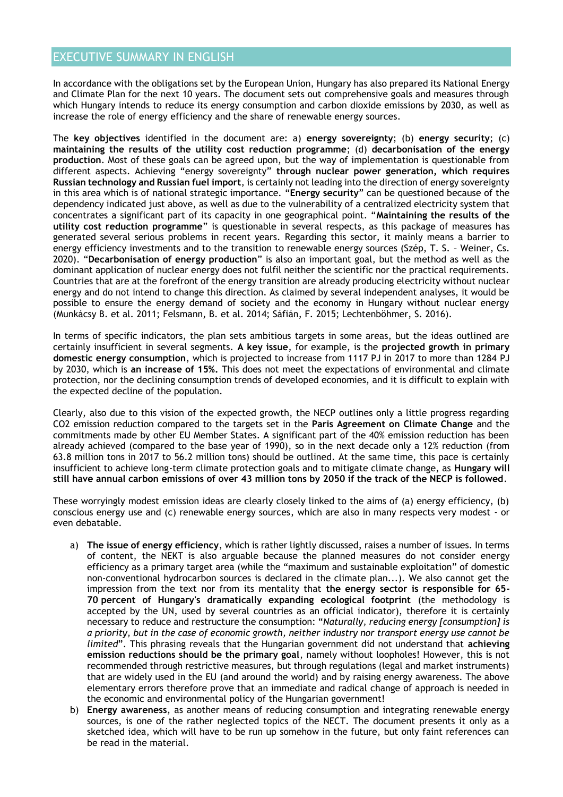## EXECUTIVE SUMMARY IN ENGLISH

In accordance with the obligations set by the European Union, Hungary has also prepared its National Energy and Climate Plan for the next 10 years. The document sets out comprehensive goals and measures through which Hungary intends to reduce its energy consumption and carbon dioxide emissions by 2030, as well as increase the role of energy efficiency and the share of renewable energy sources.

The **key objectives** identified in the document are: a) **energy sovereignty**; (b) **energy security**; (c) **maintaining the results of the utility cost reduction programme**; (d) **decarbonisation of the energy production**. Most of these goals can be agreed upon, but the way of implementation is questionable from different aspects. Achieving "energy sovereignty" **through nuclear power generation, which requires Russian technology and Russian fuel import**, is certainly not leading into the direction of energy sovereignty in this area which is of national strategic importance. "**Energy security**" can be questioned because of the dependency indicated just above, as well as due to the vulnerability of a centralized electricity system that concentrates a significant part of its capacity in one geographical point. "**Maintaining the results of the utility cost reduction programme**" is questionable in several respects, as this package of measures has generated several serious problems in recent years. Regarding this sector, it mainly means a barrier to energy efficiency investments and to the transition to renewable energy sources (Szép, T. S. – Weiner, Cs. 2020). "**Decarbonisation of energy production**" is also an important goal, but the method as well as the dominant application of nuclear energy does not fulfil neither the scientific nor the practical requirements. Countries that are at the forefront of the energy transition are already producing electricity without nuclear energy and do not intend to change this direction. As claimed by several independent analyses, it would be possible to ensure the energy demand of society and the economy in Hungary without nuclear energy (Munkácsy B. et al. 2011; Felsmann, B. et al. 2014; Sáfián, F. 2015; Lechtenböhmer, S. 2016).

In terms of specific indicators, the plan sets ambitious targets in some areas, but the ideas outlined are certainly insufficient in several segments. **A key issue**, for example, is the **projected growth in primary domestic energy consumption**, which is projected to increase from 1117 PJ in 2017 to more than 1284 PJ by 2030, which is **an increase of 15%.** This does not meet the expectations of environmental and climate protection, nor the declining consumption trends of developed economies, and it is difficult to explain with the expected decline of the population.

Clearly, also due to this vision of the expected growth, the NECP outlines only a little progress regarding CO2 emission reduction compared to the targets set in the **Paris Agreement on Climate Change** and the commitments made by other EU Member States. A significant part of the 40% emission reduction has been already achieved (compared to the base year of 1990), so in the next decade only a 12% reduction (from 63.8 million tons in 2017 to 56.2 million tons) should be outlined. At the same time, this pace is certainly insufficient to achieve long-term climate protection goals and to mitigate climate change, as **Hungary will still have annual carbon emissions of over 43 million tons by 2050 if the track of the NECP is followed**.

These worryingly modest emission ideas are clearly closely linked to the aims of (a) energy efficiency, (b) conscious energy use and (c) renewable energy sources, which are also in many respects very modest - or even debatable.

- a) **The issue of energy efficiency**, which is rather lightly discussed, raises a number of issues. In terms of content, the NEKT is also arguable because the planned measures do not consider energy efficiency as a primary target area (while the "maximum and sustainable exploitation" of domestic non-conventional hydrocarbon sources is declared in the climate plan...). We also cannot get the impression from the text nor from its mentality that **the energy sector is responsible for 65- 70 percent of Hungary's dramatically expanding ecological footprint** (the methodology is accepted by the UN, used by several countries as an official indicator), therefore it is certainly necessary to reduce and restructure the consumption: "*Naturally, reducing energy [consumption] is a priority, but in the case of economic growth, neither industry nor transport energy use cannot be limited*". This phrasing reveals that the Hungarian government did not understand that **achieving emission reductions should be the primary goal**, namely without loopholes! However, this is not recommended through restrictive measures, but through regulations (legal and market instruments) that are widely used in the EU (and around the world) and by raising energy awareness. The above elementary errors therefore prove that an immediate and radical change of approach is needed in the economic and environmental policy of the Hungarian government!
- b) **Energy awareness**, as another means of reducing consumption and integrating renewable energy sources, is one of the rather neglected topics of the NECT. The document presents it only as a sketched idea, which will have to be run up somehow in the future, but only faint references can be read in the material.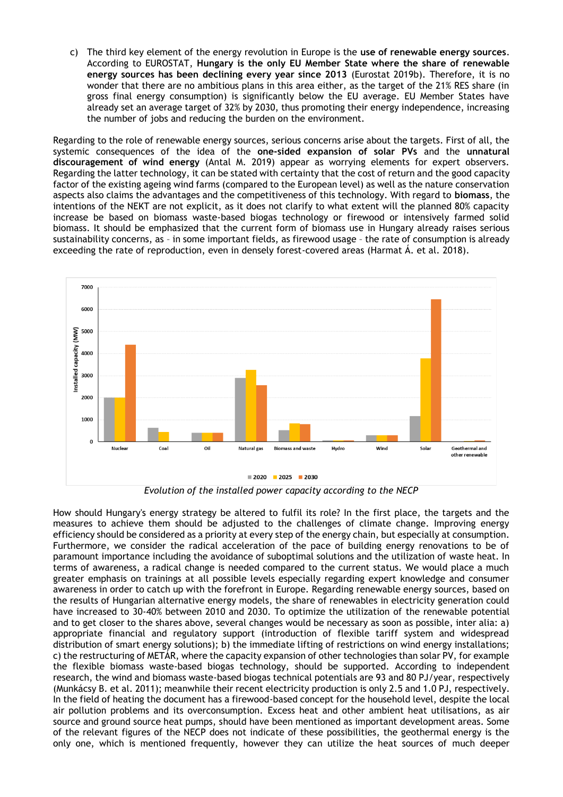c) The third key element of the energy revolution in Europe is the **use of renewable energy sources**. According to EUROSTAT, **Hungary is the only EU Member State where the share of renewable energy sources has been declining every year since 2013** (Eurostat 2019b). Therefore, it is no wonder that there are no ambitious plans in this area either, as the target of the 21% RES share (in gross final energy consumption) is significantly below the EU average. EU Member States have already set an average target of 32% by 2030, thus promoting their energy independence, increasing the number of jobs and reducing the burden on the environment.

Regarding to the role of renewable energy sources, serious concerns arise about the targets. First of all, the systemic consequences of the idea of the **one-sided expansion of solar PVs** and the **unnatural discouragement of wind energy** (Antal M. 2019) appear as worrying elements for expert observers. Regarding the latter technology, it can be stated with certainty that the cost of return and the good capacity factor of the existing ageing wind farms (compared to the European level) as well as the nature conservation aspects also claims the advantages and the competitiveness of this technology. With regard to **biomass**, the intentions of the NEKT are not explicit, as it does not clarify to what extent will the planned 80% capacity increase be based on biomass waste-based biogas technology or firewood or intensively farmed solid biomass. It should be emphasized that the current form of biomass use in Hungary already raises serious sustainability concerns, as – in some important fields, as firewood usage – the rate of consumption is already exceeding the rate of reproduction, even in densely forest-covered areas (Harmat Á. et al. 2018).



*Evolution of the installed power capacity according to the NECP*

How should Hungary's energy strategy be altered to fulfil its role? In the first place, the targets and the measures to achieve them should be adjusted to the challenges of climate change. Improving energy efficiency should be considered as a priority at every step of the energy chain, but especially at consumption. Furthermore, we consider the radical acceleration of the pace of building energy renovations to be of paramount importance including the avoidance of suboptimal solutions and the utilization of waste heat. In terms of awareness, a radical change is needed compared to the current status. We would place a much greater emphasis on trainings at all possible levels especially regarding expert knowledge and consumer awareness in order to catch up with the forefront in Europe. Regarding renewable energy sources, based on the results of Hungarian alternative energy models, the share of renewables in electricity generation could have increased to 30-40% between 2010 and 2030. To optimize the utilization of the renewable potential and to get closer to the shares above, several changes would be necessary as soon as possible, inter alia: a) appropriate financial and regulatory support (introduction of flexible tariff system and widespread distribution of smart energy solutions); b) the immediate lifting of restrictions on wind energy installations; c) the restructuring of METÁR, where the capacity expansion of other technologies than solar PV, for example the flexible biomass waste-based biogas technology, should be supported. According to independent research, the wind and biomass waste-based biogas technical potentials are 93 and 80 PJ/year, respectively (Munkácsy B. et al. 2011); meanwhile their recent electricity production is only 2.5 and 1.0 PJ, respectively. In the field of heating the document has a firewood-based concept for the household level, despite the local air pollution problems and its overconsumption. Excess heat and other ambient heat utilisations, as air source and ground source heat pumps, should have been mentioned as important development areas. Some of the relevant figures of the NECP does not indicate of these possibilities, the geothermal energy is the only one, which is mentioned frequently, however they can utilize the heat sources of much deeper